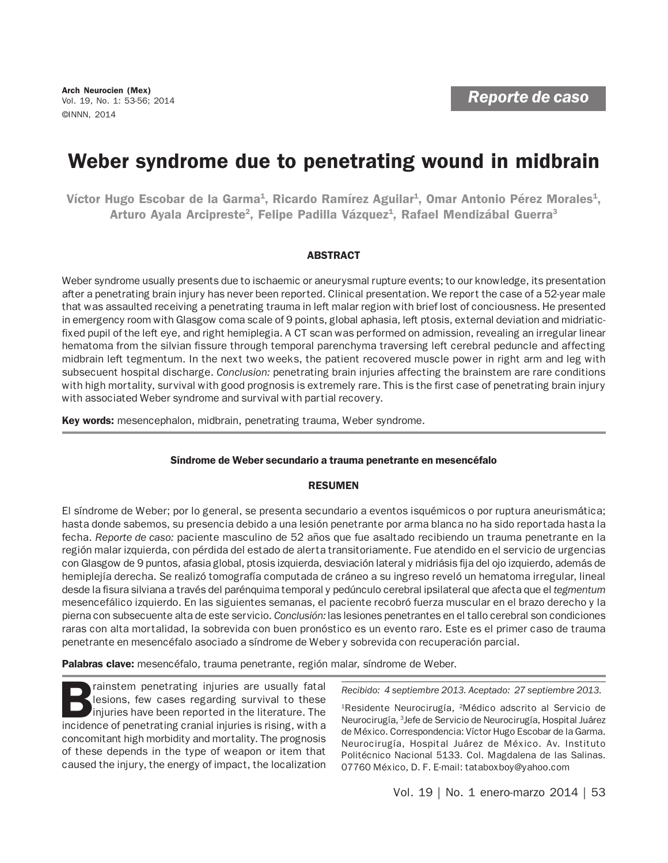# Weber syndrome due to penetrating wound in midbrain

Víctor Hugo Escobar de la Garma<sup>1</sup>, Ricardo Ramírez Aguilar<sup>1</sup>, Omar Antonio Pérez Morales<sup>1</sup>, Arturo Ayala Arcipreste<sup>2</sup>, Felipe Padilla Vázquez<sup>1</sup>, Rafael Mendizábal Guerra<sup>3</sup>

## ABSTRACT

Weber syndrome usually presents due to ischaemic or aneurysmal rupture events; to our knowledge, its presentation after a penetrating brain injury has never been reported. Clinical presentation. We report the case of a 52-year male that was assaulted receiving a penetrating trauma in left malar region with brief lost of conciousness. He presented in emergency room with Glasgow coma scale of 9 points, global aphasia, left ptosis, external deviation and midriaticfixed pupil of the left eye, and right hemiplegia. A CT scan was performed on admission, revealing an irregular linear hematoma from the silvian fissure through temporal parenchyma traversing left cerebral peduncle and affecting midbrain left tegmentum. In the next two weeks, the patient recovered muscle power in right arm and leg with subsecuent hospital discharge. *Conclusion:* penetrating brain injuries affecting the brainstem are rare conditions with high mortality, survival with good prognosis is extremely rare. This is the first case of penetrating brain injury with associated Weber syndrome and survival with partial recovery.

Key words: mesencephalon, midbrain, penetrating trauma, Weber syndrome.

## Síndrome de Weber secundario a trauma penetrante en mesencéfalo

## RESUMEN

El síndrome de Weber; por lo general, se presenta secundario a eventos isquémicos o por ruptura aneurismática; hasta donde sabemos, su presencia debido a una lesión penetrante por arma blanca no ha sido reportada hasta la fecha. *Reporte de caso:* paciente masculino de 52 años que fue asaltado recibiendo un trauma penetrante en la región malar izquierda, con pérdida del estado de alerta transitoriamente. Fue atendido en el servicio de urgencias con Glasgow de 9 puntos, afasia global, ptosis izquierda, desviación lateral y midriásis fija del ojo izquierdo, además de hemiplejía derecha. Se realizó tomografía computada de cráneo a su ingreso reveló un hematoma irregular, lineal desde la fisura silviana a través del parénquima temporal y pedúnculo cerebral ipsilateral que afecta que el *tegmentum* mesencefálico izquierdo. En las siguientes semanas, el paciente recobró fuerza muscular en el brazo derecho y la pierna con subsecuente alta de este servicio. *Conclusión:* las lesiones penetrantes en el tallo cerebral son condiciones raras con alta mortalidad, la sobrevida con buen pronóstico es un evento raro. Este es el primer caso de trauma penetrante en mesencéfalo asociado a síndrome de Weber y sobrevida con recuperación parcial.

Palabras clave: mesencéfalo, trauma penetrante, región malar, síndrome de Weber.

Frainstem penetrating injuries are usually fatal Recibido: 4 septiembre 2013. Aceptado: 27 septiembre 2013.<br>
Injuries have been reported in the literature. The incidence of penetrating cranial injuries is rising with a Neu rainstem penetrating injuries are usually fatal lesions, few cases regarding survival to these injuries have been reported in the literature. The incidence of penetrating cranial injuries is rising, with a concomitant high morbidity and mortality. The prognosis of these depends in the type of weapon or item that caused the injury, the energy of impact, the localization

1Residente Neurocirugía, 2Médico adscrito al Servicio de Neurocirugía, 3 Jefe de Servicio de Neurocirugía, Hospital Juárez de México. Correspondencia: Víctor Hugo Escobar de la Garma. Neurocirugía, Hospital Juárez de México. Av. Instituto Politécnico Nacional 5133. Col. Magdalena de las Salinas. 07760 México, D. F. E-mail: tataboxboy@yahoo.com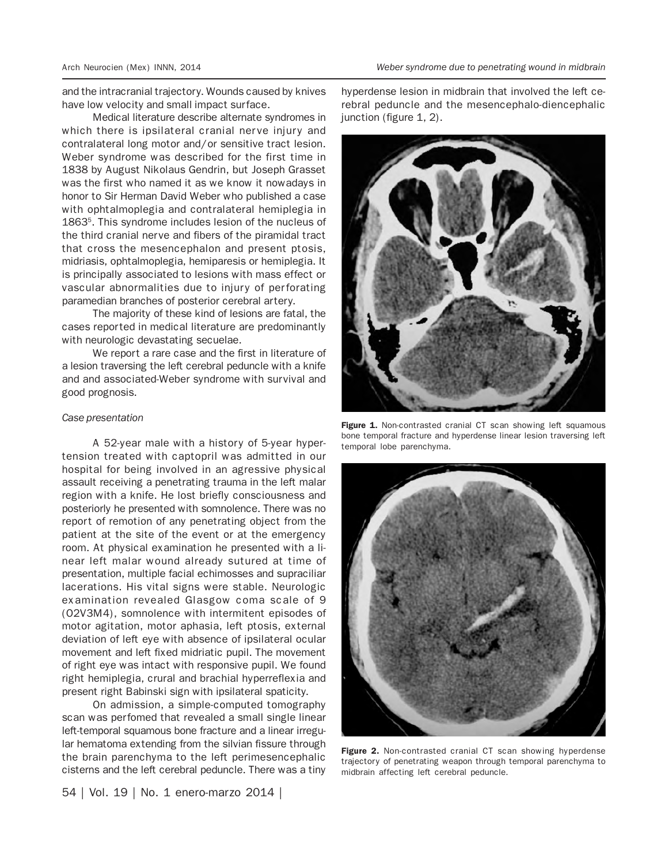and the intracranial trajectory. Wounds caused by knives have low velocity and small impact surface.

Medical literature describe alternate syndromes in which there is ipsilateral cranial nerve injury and contralateral long motor and/or sensitive tract lesion. Weber syndrome was described for the first time in 1838 by August Nikolaus Gendrin, but Joseph Grasset was the first who named it as we know it nowadays in honor to Sir Herman David Weber who published a case with ophtalmoplegia and contralateral hemiplegia in 18635. This syndrome includes lesion of the nucleus of the third cranial nerve and fibers of the piramidal tract that cross the mesencephalon and present ptosis, midriasis, ophtalmoplegia, hemiparesis or hemiplegia. It is principally associated to lesions with mass effect or vascular abnormalities due to injury of perforating paramedian branches of posterior cerebral artery.

The majority of these kind of lesions are fatal, the cases reported in medical literature are predominantly with neurologic devastating secuelae.

We report a rare case and the first in literature of a lesion traversing the left cerebral peduncle with a knife and and associated-Weber syndrome with survival and good prognosis.

#### *Case presentation*

A 52-year male with a history of 5-year hypertension treated with captopril was admitted in our hospital for being involved in an agressive physical assault receiving a penetrating trauma in the left malar region with a knife. He lost briefly consciousness and posteriorly he presented with somnolence. There was no report of remotion of any penetrating object from the patient at the site of the event or at the emergency room. At physical examination he presented with a linear left malar wound already sutured at time of presentation, multiple facial echimosses and supraciliar lacerations. His vital signs were stable. Neurologic examination revealed Glasgow coma scale of 9 (O2V3M4), somnolence with intermitent episodes of motor agitation, motor aphasia, left ptosis, external deviation of left eye with absence of ipsilateral ocular movement and left fixed midriatic pupil. The movement of right eye was intact with responsive pupil. We found right hemiplegia, crural and brachial hyperreflexia and present right Babinski sign with ipsilateral spaticity.

On admission, a simple-computed tomography scan was perfomed that revealed a small single linear left-temporal squamous bone fracture and a linear irregular hematoma extending from the silvian fissure through the brain parenchyma to the left perimesencephalic cisterns and the left cerebral peduncle. There was a tiny

54 | Vol. 19 | No. 1 enero-marzo 2014 |

hyperdense lesion in midbrain that involved the left cerebral peduncle and the mesencephalo-diencephalic junction (figure 1, 2).



Figure 1. Non-contrasted cranial CT scan showing left squamous bone temporal fracture and hyperdense linear lesion traversing left temporal lobe parenchyma.



Figure 2. Non-contrasted cranial CT scan showing hyperdense trajectory of penetrating weapon through temporal parenchyma to midbrain affecting left cerebral peduncle.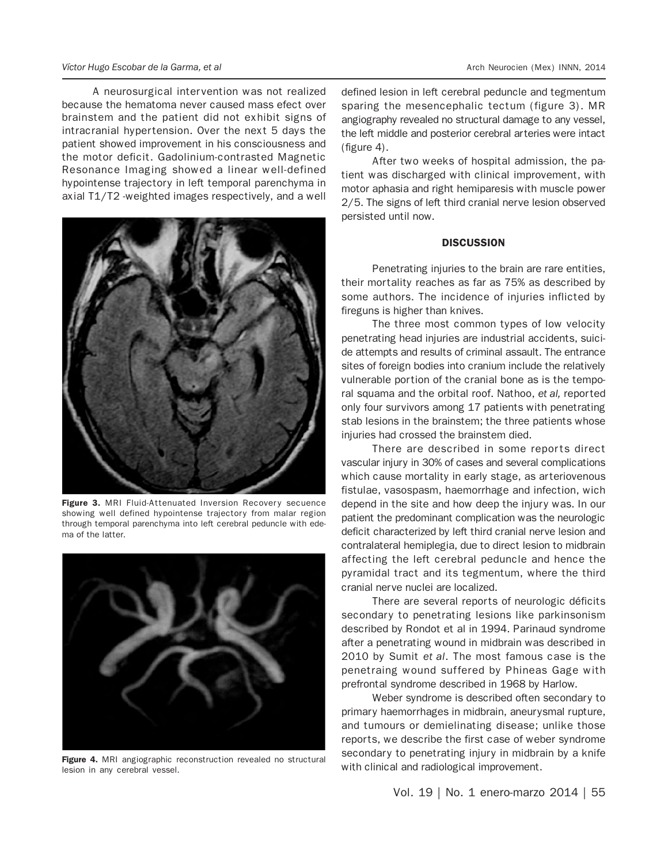#### *Víctor Hugo Escobar de la Garma, et al* Arch Neurocien (Mex) INNN, 2014

A neurosurgical intervention was not realized because the hematoma never caused mass efect over brainstem and the patient did not exhibit signs of intracranial hypertension. Over the next 5 days the patient showed improvement in his consciousness and the motor deficit. Gadolinium-contrasted Magnetic Resonance Imaging showed a linear well-defined hypointense trajectory in left temporal parenchyma in axial T1/T2 -weighted images respectively, and a well



Figure 3. MRI Fluid-Attenuated Inversion Recovery secuence showing well defined hypointense trajectory from malar region through temporal parenchyma into left cerebral peduncle with edema of the latter.



Figure 4. MRI angiographic reconstruction revealed no structural lesion in any cerebral vessel.

defined lesion in left cerebral peduncle and tegmentum sparing the mesencephalic tectum (figure 3). MR angiography revealed no structural damage to any vessel, the left middle and posterior cerebral arteries were intact (figure 4).

After two weeks of hospital admission, the patient was discharged with clinical improvement, with motor aphasia and right hemiparesis with muscle power 2/5. The signs of left third cranial nerve lesion observed persisted until now.

## **DISCUSSION**

Penetrating injuries to the brain are rare entities, their mortality reaches as far as 75% as described by some authors. The incidence of injuries inflicted by fireguns is higher than knives.

The three most common types of low velocity penetrating head injuries are industrial accidents, suicide attempts and results of criminal assault. The entrance sites of foreign bodies into cranium include the relatively vulnerable portion of the cranial bone as is the temporal squama and the orbital roof. Nathoo, *et al,* reported only four survivors among 17 patients with penetrating stab lesions in the brainstem; the three patients whose injuries had crossed the brainstem died.

There are described in some reports direct vascular injury in 30% of cases and several complications which cause mortality in early stage, as arteriovenous fistulae, vasospasm, haemorrhage and infection, wich depend in the site and how deep the injury was. In our patient the predominant complication was the neurologic deficit characterized by left third cranial nerve lesion and contralateral hemiplegia, due to direct lesion to midbrain affecting the left cerebral peduncle and hence the pyramidal tract and its tegmentum, where the third cranial nerve nuclei are localized.

There are several reports of neurologic déficits secondary to penetrating lesions like parkinsonism described by Rondot et al in 1994. Parinaud syndrome after a penetrating wound in midbrain was described in 2010 by Sumit *et al*. The most famous case is the penetraing wound suffered by Phineas Gage with prefrontal syndrome described in 1968 by Harlow.

Weber syndrome is described often secondary to primary haemorrhages in midbrain, aneurysmal rupture, and tumours or demielinating disease; unlike those reports, we describe the first case of weber syndrome secondary to penetrating injury in midbrain by a knife with clinical and radiological improvement.